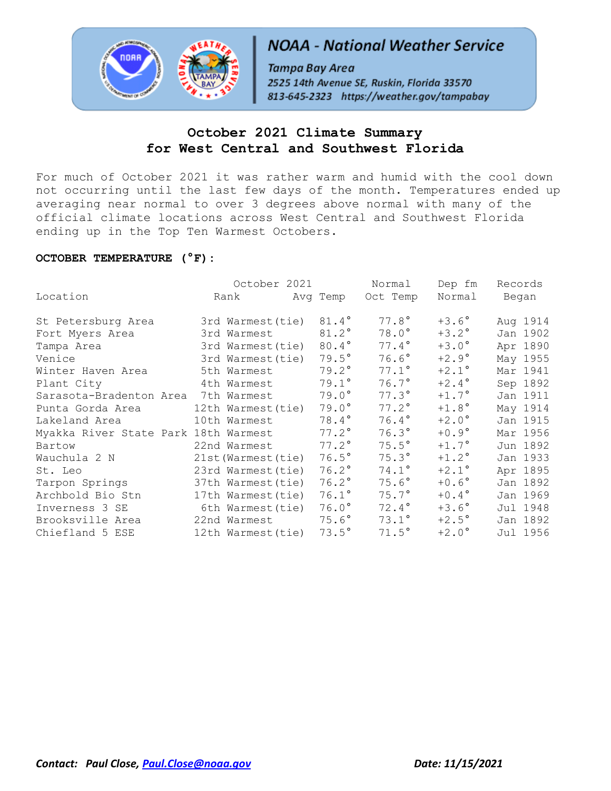

# **NOAA - National Weather Service**

Tampa Bay Area 2525 14th Avenue SE, Ruskin, Florida 33570 813-645-2323 https://weather.gov/tampabay

# **October 2021 Climate Summary for West Central and Southwest Florida**

For much of October 2021 it was rather warm and humid with the cool down not occurring until the last few days of the month. Temperatures ended up averaging near normal to over 3 degrees above normal with many of the official climate locations across West Central and Southwest Florida ending up in the Top Ten Warmest Octobers.

# **OCTOBER TEMPERATURE (°F):**

|                                      | October 2021        |                | Normal       | Dep fm         | Records  |
|--------------------------------------|---------------------|----------------|--------------|----------------|----------|
| Location                             | Rank                | Avg Temp       | Oct Temp     | Normal         | Began    |
| St Petersburg Area                   | 3rd Warmest (tie)   | 81.4°          | $77.8^\circ$ | $+3.6^{\circ}$ | Aug 1914 |
| Fort Myers Area                      | 3rd Warmest         | 81.2°          | $78.0^\circ$ | $+3.2^{\circ}$ | Jan 1902 |
| Tampa Area                           | 3rd Warmest (tie)   | 80.4°          | 77.4°        | $+3.0^\circ$   | Apr 1890 |
| Venice                               | 3rd Warmest (tie)   | $79.5^\circ$   | $76.6^\circ$ | $+2.9^\circ$   | May 1955 |
| Winter Haven Area                    | 5th Warmest         | $79.2^\circ$   | $77.1^\circ$ | $+2.1^\circ$   | Mar 1941 |
| Plant City                           | 4th Warmest         | $79.1^\circ$   | $76.7^\circ$ | $+2.4^{\circ}$ | Sep 1892 |
| Sarasota-Bradenton Area              | 7th Warmest         | $79.0^\circ$   | $77.3^\circ$ | $+1.7^{\circ}$ | Jan 1911 |
| Punta Gorda Area                     | 12th Warmest(tie)   | $79.0^\circ$   | $77.2^\circ$ | $+1.8^\circ$   | May 1914 |
| Lakeland Area                        | 10th Warmest        | $78.4^\circ$   | $76.4^\circ$ | $+2.0^\circ$   | Jan 1915 |
| Myakka River State Park 18th Warmest |                     | $77.2^\circ$   | $76.3^\circ$ | $+0.9^{\circ}$ | Mar 1956 |
| Bartow                               | 22nd Warmest        | $77.2^\circ$   | $75.5^\circ$ | $+1.7^{\circ}$ | Jun 1892 |
| Wauchula 2 N                         | 21st (Warmest (tie) | $76.5^\circ$   | $75.3^\circ$ | $+1.2$ °       | Jan 1933 |
| St. Leo                              | 23rd Warmest (tie)  | $76.2^\circ$   | $74.1^\circ$ | $+2.1^\circ$   | Apr 1895 |
| Tarpon Springs                       | 37th Warmest (tie)  | $76.2^\circ$   | $75.6^\circ$ | $+0.6^{\circ}$ | Jan 1892 |
| Archbold Bio Stn                     | 17th Warmest (tie)  | $76.1^{\circ}$ | $75.7^\circ$ | $+0.4^{\circ}$ | Jan 1969 |
| Inverness 3 SE                       | 6th Warmest (tie)   | $76.0^\circ$   | $72.4^\circ$ | $+3.6^{\circ}$ | Jul 1948 |
| Brooksville Area                     | 22nd Warmest        | $75.6^\circ$   | $73.1^\circ$ | $+2.5^{\circ}$ | Jan 1892 |
| Chiefland 5 ESE                      | 12th Warmest (tie)  | $73.5^\circ$   | $71.5^\circ$ | $+2.0^\circ$   | Jul 1956 |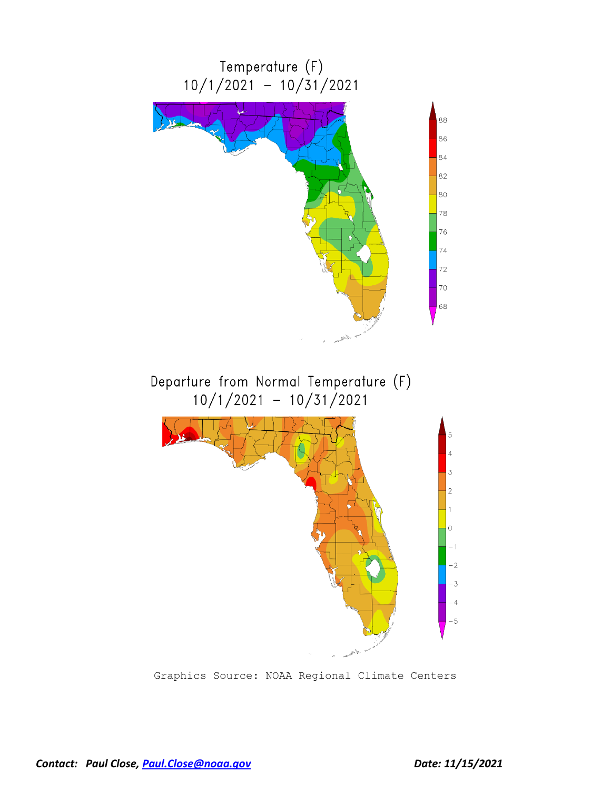

Graphics Source: NOAA Regional Climate Centers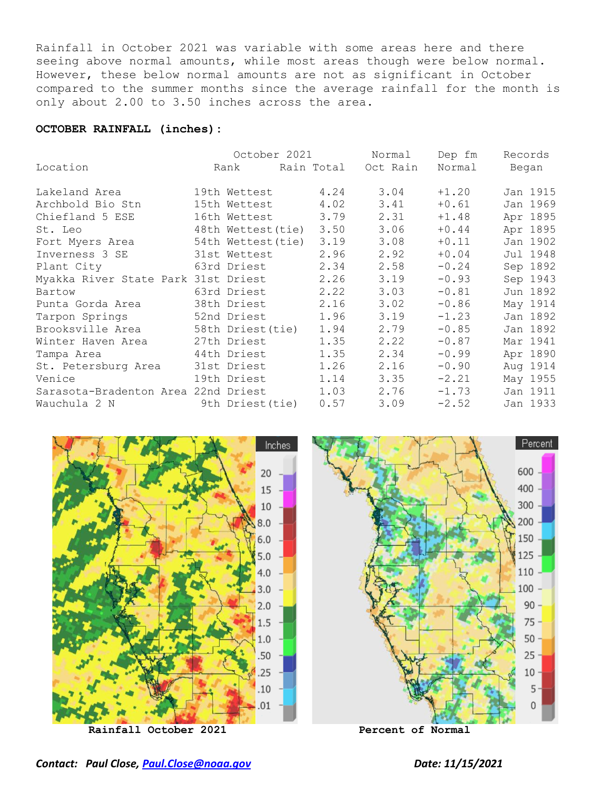Rainfall in October 2021 was variable with some areas here and there seeing above normal amounts, while most areas though were below normal. However, these below normal amounts are not as significant in October compared to the summer months since the average rainfall for the month is only about 2.00 to 3.50 inches across the area.

#### **OCTOBER RAINFALL (inches):**

|                                     |                   | October 2021        | Normal |         | Dep fm<br>Records |
|-------------------------------------|-------------------|---------------------|--------|---------|-------------------|
| Location                            | Rank              | Rain Total Oct Rain |        | Normal  | Began             |
| Lakeland Area                       | 19th Wettest      | 4.24                | 3.04   | $+1.20$ | Jan 1915          |
| Archbold Bio Stn                    | 15th Wettest      | 4.02                | 3.41   | $+0.61$ | Jan 1969          |
| Chiefland 5 ESE                     | 16th Wettest      | 3.79                | 2.31   | $+1.48$ | Apr 1895          |
| St. Leo                             | 48th Wettest(tie) | 3.50                | 3.06   | $+0.44$ | Apr 1895          |
| Fort Myers Area                     | 54th Wettest(tie) | 3.19                | 3.08   | $+0.11$ | Jan 1902          |
| Inverness 3 SE                      | 31st Wettest      | 2.96                | 2.92   | $+0.04$ | Jul 1948          |
| Plant City                          | 63rd Driest       | 2.34                | 2.58   | $-0.24$ | Sep 1892          |
| Myakka River State Park 31st Driest |                   | 2.26                | 3.19   | $-0.93$ | Sep 1943          |
| Bartow                              | 63rd Driest       | 2.22                | 3.03   | $-0.81$ | Jun 1892          |
| Punta Gorda Area                    | 38th Driest       | 2.16                | 3.02   | $-0.86$ | May 1914          |
| Tarpon Springs                      | 52nd Driest       | 1.96                | 3.19   | $-1.23$ | Jan 1892          |
| Brooksville Area                    | 58th Driest(tie)  | 1.94                | 2.79   | $-0.85$ | Jan 1892          |
| Winter Haven Area                   | 27th Driest       | 1.35                | 2.22   | $-0.87$ | Mar 1941          |
| Tampa Area                          | 44th Driest       | 1.35                | 2.34   | $-0.99$ | Apr 1890          |
| St. Petersburg Area                 | 31st Driest       | 1.26                | 2.16   | $-0.90$ | Aug 1914          |
| Venice                              | 19th Driest       | 1.14                | 3.35   | $-2.21$ | May 1955          |
| Sarasota-Bradenton Area 22nd Driest |                   | 1.03                | 2.76   | $-1.73$ | Jan 1911          |
| Wauchula 2 N                        | 9th Driest(tie)   | 0.57                | 3.09   | $-2.52$ | Jan 1933          |

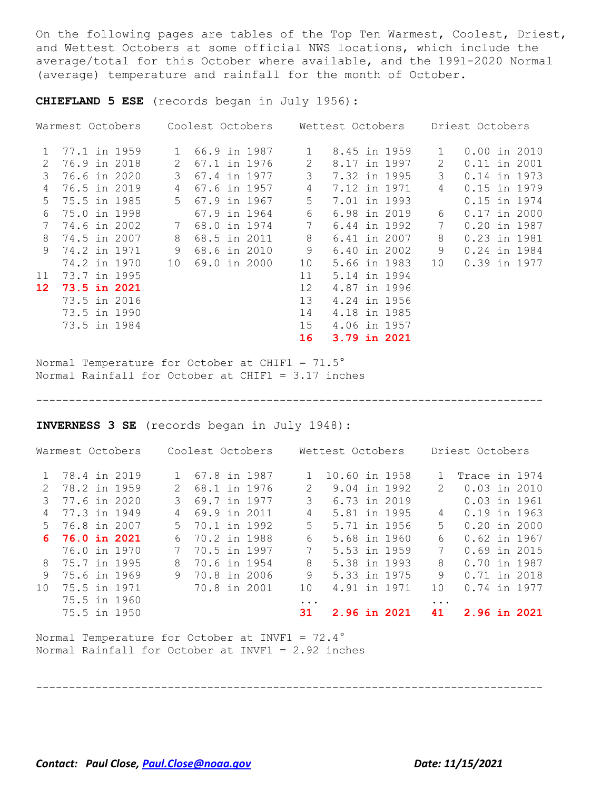On the following pages are tables of the Top Ten Warmest, Coolest, Driest, and Wettest Octobers at some official NWS locations, which include the average/total for this October where available, and the 1991-2020 Normal (average) temperature and rainfall for the month of October.

**CHIEFLAND 5 ESE** (records began in July 1956):

|                 | Warmest Octobers | Coolest Octobers             |    | Wettest Octobers |              | Driest Octobers |                |
|-----------------|------------------|------------------------------|----|------------------|--------------|-----------------|----------------|
| 1               | 77.1 in 1959     | 66.9 in 1987<br>$\mathbf{1}$ | 1  | 8.45 in 1959     | $\mathbf{1}$ |                 | $0.00$ in 2010 |
| 2               | 76.9 in 2018     | 67.1 in 1976<br>2            | 2  | 8.17 in 1997     | 2            |                 | $0.11$ in 2001 |
| 3               | 76.6 in 2020     | 3<br>67.4 in 1977            | 3  | 7.32 in 1995     | 3            |                 | 0.14 in 1973   |
| 4               | 76.5 in 2019     | 67.6 in 1957<br>4            | 4  | 7.12 in 1971     | 4            |                 | 0.15 in 1979   |
| 5.              | 75.5 in 1985     | $5 -$<br>67.9 in 1967        | 5  | 7.01 in 1993     |              |                 | 0.15 in 1974   |
| 6               | 75.0 in 1998     | 67.9 in 1964                 | 6  | 6.98 in 2019     | 6            |                 | $0.17$ in 2000 |
| 7               | 74.6 in 2002     | 68.0 in 1974                 | 7  | 6.44 in 1992     | 7            |                 | 0.20 in 1987   |
| 8               | 74.5 in 2007     | 68.5 in 2011<br>8            | 8  | 6.41 in 2007     | 8            |                 | 0.23 in 1981   |
| 9               | 74.2 in 1971     | 9<br>68.6 in 2010            | 9  | 6.40 in 2002     | 9            |                 | 0.24 in 1984   |
|                 | 74.2 in 1970     | 10<br>69.0 in 2000           | 10 | 5.66 in 1983     | 10           |                 | 0.39 in 1977   |
| 11              | 73.7 in 1995     |                              | 11 | 5.14 in 1994     |              |                 |                |
| 12 <sup>°</sup> | 73.5 in 2021     |                              | 12 | 4.87 in 1996     |              |                 |                |
|                 | 73.5 in 2016     |                              | 13 | 4.24 in 1956     |              |                 |                |
|                 | 73.5 in 1990     |                              | 14 | 4.18 in 1985     |              |                 |                |
|                 | 73.5 in 1984     |                              | 15 | 4.06 in 1957     |              |                 |                |
|                 |                  |                              | 16 | 3.79 in 2021     |              |                 |                |

Normal Temperature for October at CHIF1 = 71.5° Normal Rainfall for October at CHIF1 = 3.17 inches

-----------------------------------------------------------------------------

**INVERNESS 3 SE** (records began in July 1948):

|              | Warmest Octobers | Coolest Octobers |              |           | Wettest Octobers |  |               | Driest Octobers |  |
|--------------|------------------|------------------|--------------|-----------|------------------|--|---------------|-----------------|--|
|              | 78.4 in 2019     |                  | 67.8 in 1987 |           | 10.60 in 1958    |  |               | Trace in 1974   |  |
| 2            | 78.2 in 1959     |                  | 68.1 in 1976 | 2         | 9.04 in 1992     |  | $\mathcal{P}$ | 0.03 in 2010    |  |
| 3            | 77.6 in 2020     | 3                | 69.7 in 1977 | 3         | 6.73 in 2019     |  |               | $0.03$ in 1961  |  |
| 4            | 77.3 in 1949     | 4                | 69.9 in 2011 | 4         | 5.81 in 1995     |  | 4             | 0.19 in 1963    |  |
| $5 -$        | 76.8 in 2007     | 5                | 70.1 in 1992 | 5         | 5.71 in 1956     |  | 5             | $0.20$ in 2000  |  |
|              | 6 76.0 in 2021   | 6.               | 70.2 in 1988 | 6         | 5.68 in 1960     |  | 6             | $0.62$ in 1967  |  |
|              | 76.0 in 1970     | 7                | 70.5 in 1997 | 7         | 5.53 in 1959     |  | 7             | $0.69$ in 2015  |  |
| 8            | 75.7 in 1995     | 8                | 70.6 in 1954 | 8         | 5.38 in 1993     |  | 8             | 0.70 in 1987    |  |
| $\mathsf{Q}$ | 75.6 in 1969     | 9                | 70.8 in 2006 | 9         | 5.33 in 1975     |  | 9             | 0.71 in 2018    |  |
| $10^{-}$     | 75.5 in 1971     |                  | 70.8 in 2001 | 10        | 4.91 in 1971     |  | $10^{\circ}$  | 0.74 in 1977    |  |
|              | 75.5 in 1960     |                  |              | $\ddotsc$ |                  |  | $\ddotsc$     |                 |  |
|              | 75.5 in 1950     |                  |              | 31        | 2.96 in 2021     |  | 41            | 2.96 in 2021    |  |

-----------------------------------------------------------------------------

Normal Temperature for October at INVF1 = 72.4° Normal Rainfall for October at INVF1 = 2.92 inches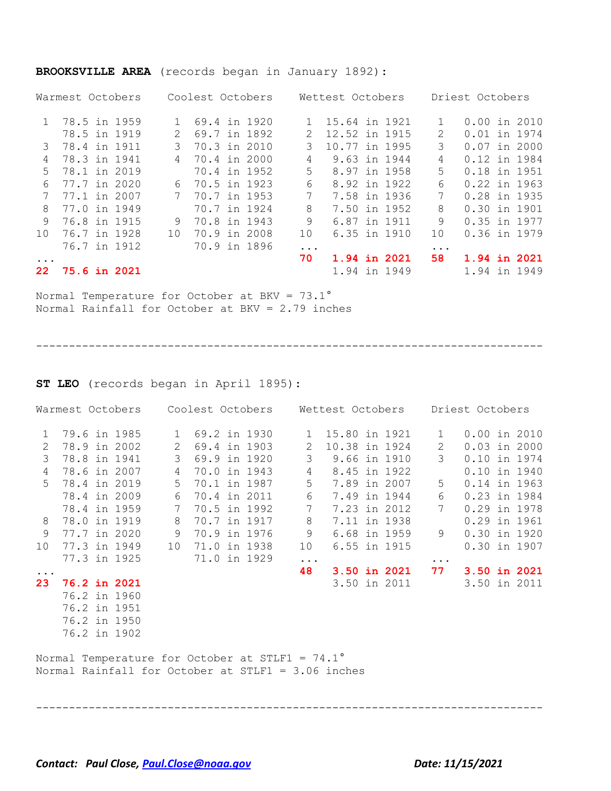|              | Warmest Octobers    |  |              | Coolest Octobers |  |              | Wettest Octobers |  |           | Driest Octobers |  |
|--------------|---------------------|--|--------------|------------------|--|--------------|------------------|--|-----------|-----------------|--|
|              | 1 78.5 in 1959      |  | $\mathbf{1}$ | 69.4 in 1920     |  |              | 15.64 in 1921    |  |           | $0.00$ in 2010  |  |
|              | 78.5 in 1919        |  | 2            | 69.7 in 1892     |  |              | 12.52 in 1915    |  | 2         | 0.01 in 1974    |  |
|              | 3 78.4 in 1911      |  | 3            | 70.3 in 2010     |  | 3            | 10.77 in 1995    |  | 3         | $0.07$ in 2000  |  |
| 4            | 78.3 in 1941        |  | 4            | 70.4 in 2000     |  | 4            | 9.63 in 1944     |  | 4         | 0.12 in 1984    |  |
| .5           | 78.1 in 2019        |  |              | 70.4 in 1952     |  | .5           | 8.97 in 1958     |  | 5         | 0.18 in 1951    |  |
| 6            | 77.7 in 2020        |  | 6            | 70.5 in 1923     |  | 6            | 8.92 in 1922     |  | 6         | 0.22 in 1963    |  |
|              | 77.1 in 2007        |  |              | 70.7 in 1953     |  |              | 7.58 in 1936     |  | 7         | 0.28 in 1935    |  |
| 8            | 77.0 in 1949        |  |              | 70.7 in 1924     |  | 8            | 7.50 in 1952     |  | 8         | 0.30 in 1901    |  |
| $\mathsf{Q}$ | 76.8 in 1915        |  | 9            | 70.8 in 1943     |  | 9            | 6.87 in 1911     |  | 9         | 0.35 in 1977    |  |
| 10           | 76.7 in 1928        |  | 1 O          | 70.9 in 2008     |  | $10^{\circ}$ | 6.35 in 1910     |  | 1 O       | 0.36 in 1979    |  |
|              | 76.7 in 1912        |  |              | 70.9 in 1896     |  | $\ddotsc$    |                  |  | $\ddotsc$ |                 |  |
| $\ddotsc$    |                     |  |              |                  |  | 70           | 1.94 in 2021     |  | 58        | 1.94 in 2021    |  |
| 22.          | <b>75.6 in 2021</b> |  |              |                  |  |              | 1.94 in 1949     |  |           | 1.94 in 1949    |  |
|              |                     |  |              |                  |  |              |                  |  |           |                 |  |

#### **BROOKSVILLE AREA** (records began in January 1892):

Normal Temperature for October at BKV = 73.1° Normal Rainfall for October at BKV = 2.79 inches

-----------------------------------------------------------------------------

**ST LEO** (records began in April 1895):

| Warmest Octobers    Coolest Octobers    Wettest Octobers |  |  |                     |              |  |              |                |                 |                     | Driest Octobers       |                |  |
|----------------------------------------------------------|--|--|---------------------|--------------|--|--------------|----------------|-----------------|---------------------|-----------------------|----------------|--|
| $\mathbf{1}$                                             |  |  | 79.6 in 1985        | $\mathbf{1}$ |  | 69.2 in 1930 |                | 1 15.80 in 1921 |                     | $\mathbf{1}$          | $0.00$ in 2010 |  |
| 2                                                        |  |  | 78.9 in 2002        | 2            |  | 69.4 in 1903 | 2              | 10.38 in 1924   |                     | $\mathbf{2}^{\prime}$ | $0.03$ in 2000 |  |
| 3                                                        |  |  | 78.8 in 1941        | 3            |  | 69.9 in 1920 | 3              |                 | 9.66 in 1910        | 3                     | 0.10 in 1974   |  |
| 4                                                        |  |  | 78.6 in 2007        | 4            |  | 70.0 in 1943 | $\overline{4}$ |                 | 8.45 in 1922        |                       | 0.10 in 1940   |  |
| $5 -$                                                    |  |  | 78.4 in 2019        | $5 -$        |  | 70.1 in 1987 | 5              |                 | 7.89 in 2007        | 5                     | 0.14 in 1963   |  |
|                                                          |  |  | 78.4 in 2009        | 6            |  | 70.4 in 2011 | 6              |                 | 7.49 in 1944        | 6                     | 0.23 in 1984   |  |
|                                                          |  |  | 78.4 in 1959        | 7            |  | 70.5 in 1992 | 7              |                 | 7.23 in 2012        | 7                     | 0.29 in 1978   |  |
| 8                                                        |  |  | 78.0 in 1919        | 8            |  | 70.7 in 1917 | 8              |                 | 7.11 in 1938        |                       | 0.29 in 1961   |  |
| 9                                                        |  |  | 77.7 in 2020        | 9            |  | 70.9 in 1976 | 9              |                 | 6.68 in 1959        | 9                     | $0.30$ in 1920 |  |
| 10                                                       |  |  | 77.3 in 1949        | 10           |  | 71.0 in 1938 | 10             |                 | 6.55 in 1915        |                       | 0.30 in 1907   |  |
|                                                          |  |  | 77.3 in 1925        |              |  | 71.0 in 1929 | .              |                 |                     | $\ddotsc$             |                |  |
| $\ddots$ .                                               |  |  |                     |              |  |              | 48             |                 | <b>3.50 in 2021</b> | 77                    | 3.50 in 2021   |  |
| 23                                                       |  |  | <b>76.2 in 2021</b> |              |  |              |                |                 | 3.50 in 2011        |                       | 3.50 in 2011   |  |
|                                                          |  |  | 76.2 in 1960        |              |  |              |                |                 |                     |                       |                |  |
|                                                          |  |  | 76.2 in 1951        |              |  |              |                |                 |                     |                       |                |  |
|                                                          |  |  | 76.2 in 1950        |              |  |              |                |                 |                     |                       |                |  |
|                                                          |  |  | 76.2 in 1902        |              |  |              |                |                 |                     |                       |                |  |

Normal Temperature for October at STLF1 = 74.1° Normal Rainfall for October at STLF1 = 3.06 inches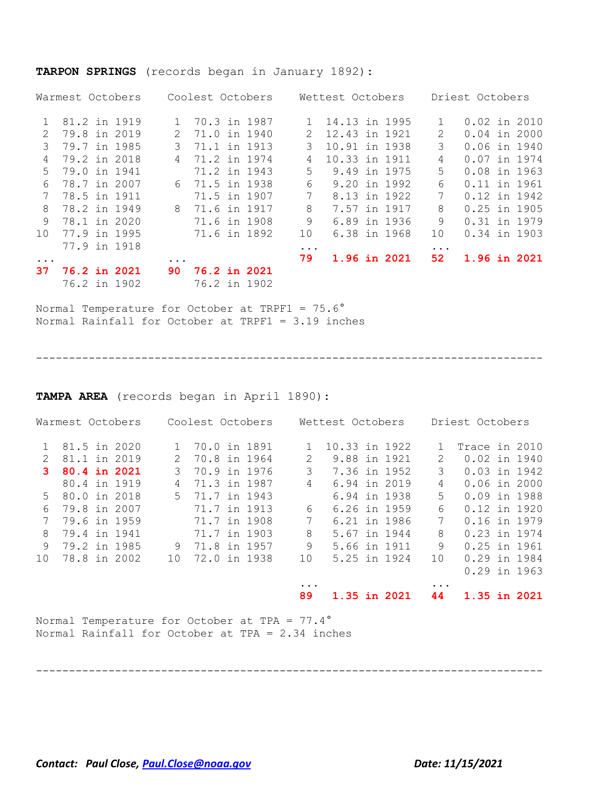#### **TARPON SPRINGS** (records began in January 1892):

|                 | Warmest Octobers | Coolest Octobers               | Wettest Octobers   | Driest Octobers                |
|-----------------|------------------|--------------------------------|--------------------|--------------------------------|
|                 | 81.2 in 1919     | 70.3 in 1987                   | 14.13 in 1995      | $\mathbf{1}$<br>$0.02$ in 2010 |
| $\mathcal{L}$   | 79.8 in 2019     | 71.0 in 1940<br>2              | 12.43 in 1921<br>2 | $0.04$ in 2000<br>2            |
| 3               | 79.7 in 1985     | 71.1 in 1913<br>3              | 3<br>10.91 in 1938 | 3<br>0.06 in 1940              |
| 4               | 79.2 in 2018     | 71.2 in 1974<br>$\overline{4}$ | 4<br>10.33 in 1911 | 4<br>0.07 in 1974              |
| .5              | 79.0 in 1941     | 71.2 in 1943                   | 5<br>9.49 in 1975  | 5<br>0.08 in 1963              |
| 6               | 78.7 in 2007     | 6 71.5 in 1938                 | 6<br>9.20 in 1992  | 6<br>0.11 in 1961              |
|                 | 78.5 in 1911     | 71.5 in 1907                   | 7<br>8.13 in 1922  | 7<br>0.12 in 1942              |
| 8               | 78.2 in 1949     | 8 71.6 in 1917                 | 8<br>7.57 in 1917  | 8<br>$0.25$ in 1905            |
| 9               | 78.1 in 2020     | 71.6 in 1908                   | 9<br>6.89 in 1936  | 9<br>0.31 in 1979              |
| 10 <sup>1</sup> | 77.9 in 1995     | 71.6 in 1892                   | 10<br>6.38 in 1968 | 0.34 in 1903<br>10             |
|                 | 77.9 in 1918     |                                | $\ddotsc$          | $\ddotsc$                      |
| $\ddotsc$       |                  | $\cdots$                       | 79<br>1.96 in 2021 | 52<br>1.96 in 2021             |
| 37              | 76.2 in 2021     | <b>76.2 in 2021</b><br>90.     |                    |                                |
|                 | 76.2 in 1902     | 76.2 in 1902                   |                    |                                |

Normal Temperature for October at TRPF1 = 75.6° Normal Rainfall for October at TRPF1 = 3.19 inches

-----------------------------------------------------------------------------

**TAMPA AREA** (records began in April 1890):

| Warmest Octobers |                |  |  | Coolest Octobers |                |              | Wettest Octobers |               |              | Driest Octobers |                |  |
|------------------|----------------|--|--|------------------|----------------|--------------|------------------|---------------|--------------|-----------------|----------------|--|
|                  | 81.5 in 2020   |  |  | 1                | 70.0 in 1891   |              | $\mathbf{1}$     | 10.33 in 1922 |              |                 | Trace in 2010  |  |
| $\mathcal{L}$    | 81.1 in 2019   |  |  | 2                | 70.8 in 1964   |              | 2                | 9.88 in 1921  |              | 2               | 0.02 in 1940   |  |
| 3.               | 80.4 in 2021   |  |  | 3                | 70.9 in 1976   |              | 3                | 7.36 in 1952  |              | 3               | $0.03$ in 1942 |  |
|                  | 80.4 in 1919   |  |  | 4                | 71.3 in 1987   |              | 4                | 6.94 in 2019  |              | 4               | $0.06$ in 2000 |  |
|                  | 5 80.0 in 2018 |  |  |                  | 5 71.7 in 1943 |              |                  |               | 6.94 in 1938 | 5               | $0.09$ in 1988 |  |
| 6                | 79.8 in 2007   |  |  |                  | 71.7 in 1913   |              | 6                |               | 6.26 in 1959 | 6               | $0.12$ in 1920 |  |
|                  | 79.6 in 1959   |  |  |                  | 71.7 in 1908   |              | 7                |               | 6.21 in 1986 | 7               | 0.16 in 1979   |  |
| 8                | 79.4 in 1941   |  |  |                  |                | 71.7 in 1903 | 8                | 5.67 in 1944  |              | 8               | 0.23 in 1974   |  |
| 9                | 79.2 in 1985   |  |  | 9                | 71.8 in 1957   |              | 9                | 5.66 in 1911  |              | 9               | 0.25 in 1961   |  |
| 10               | 78.8 in 2002   |  |  | 10               | 72.0 in 1938   |              | 10               |               | 5.25 in 1924 | 10              | 0.29 in 1984   |  |
|                  |                |  |  |                  |                |              |                  |               |              |                 | $0.29$ in 1963 |  |
|                  |                |  |  |                  |                |              | $\cdots$         |               |              | $\cdots$        |                |  |
|                  |                |  |  |                  |                |              | 89               | 1.35 in 2021  |              | 44              | 1.35 in 2021   |  |

Normal Temperature for October at TPA = 77.4° Normal Rainfall for October at TPA = 2.34 inches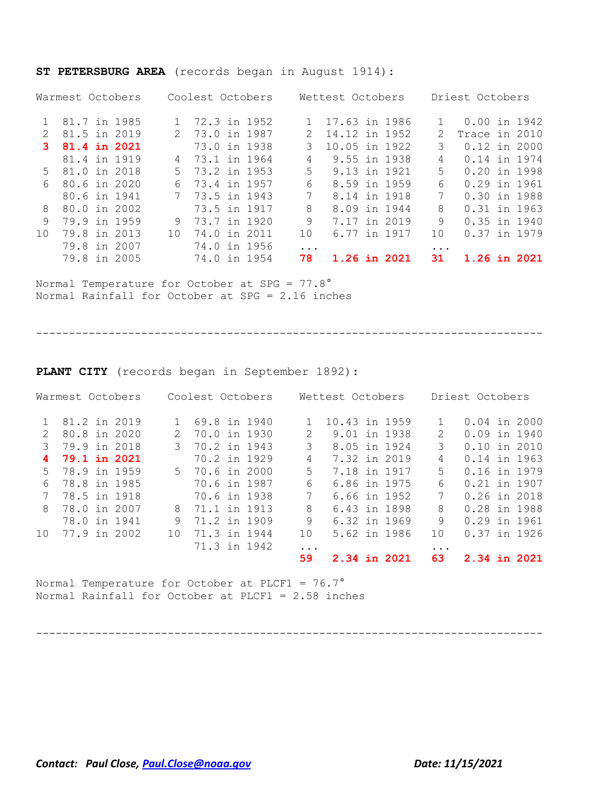| Warmest Octobers |                |  |  | Coolest Octobers |                |  |  | Wettest Octobers |               | Driest Octobers |              |               |                |  |              |
|------------------|----------------|--|--|------------------|----------------|--|--|------------------|---------------|-----------------|--------------|---------------|----------------|--|--------------|
|                  | 1 81.7 in 1985 |  |  |                  | 1 72.3 in 1952 |  |  |                  | 17.63 in 1986 |                 |              |               | 0.00 in 1942   |  |              |
| $\mathcal{P}$    | 81.5 in 2019   |  |  |                  | 2 73.0 in 1987 |  |  | $\mathcal{L}$    | 14.12 in 1952 |                 |              | $\mathcal{L}$ | Trace in 2010  |  |              |
| 3                | 81.4 in 2021   |  |  |                  | 73.0 in 1938   |  |  |                  | 10.05 in 1922 |                 |              | 3             | $0.12$ in 2000 |  |              |
|                  | 81.4 in 1919   |  |  |                  | 4 73.1 in 1964 |  |  | 4                | 9.55 in 1938  |                 |              | 4             | 0.14 in 1974   |  |              |
|                  | 5 81.0 in 2018 |  |  |                  | 5 73.2 in 1953 |  |  | .5               | 9.13 in 1921  |                 |              | 5.            | 0.20 in 1998   |  |              |
| 6                | 80.6 in 2020   |  |  | 6.               | 73.4 in 1957   |  |  | 6                |               |                 | 8.59 in 1959 | 6             | 0.29 in 1961   |  |              |
|                  | 80.6 in 1941   |  |  |                  | 7 73.5 in 1943 |  |  | 7                |               |                 | 8.14 in 1918 | 7             | 0.30 in 1988   |  |              |
| 8                | 80.0 in 2002   |  |  |                  | 73.5 in 1917   |  |  | 8                |               |                 | 8.09 in 1944 | 8             | $0.31$ in 1963 |  |              |
| 9                | 79.9 in 1959   |  |  | 9                | 73.7 in 1920   |  |  | 9                | 7.17 in 2019  |                 |              | 9             | $0.35$ in 1940 |  |              |
| 10 <sup>°</sup>  | 79.8 in 2013   |  |  | $10^{-}$         | 74.0 in 2011   |  |  | 10               |               |                 | 6.77 in 1917 | 10            | 0.37 in 1979   |  |              |
|                  | 79.8 in 2007   |  |  |                  | 74.0 in 1956   |  |  | $\ddotsc$        |               |                 |              | $\cdot$       |                |  |              |
|                  | 79.8 in 2005   |  |  |                  | 74.0 in 1954   |  |  | 78               |               |                 | 1.26 in 2021 | 31            |                |  | 1.26 in 2021 |

#### **ST PETERSBURG AREA** (records began in August 1914):

Normal Temperature for October at SPG = 77.8° Normal Rainfall for October at SPG = 2.16 inches

-----------------------------------------------------------------------------

**PLANT CITY** (records began in September 1892):

| Warmest Octobers |              |  |     | Coolest Octobers |  |  |               | Wettest Octobers |  | Driest Octobers |                             |                |  |  |
|------------------|--------------|--|-----|------------------|--|--|---------------|------------------|--|-----------------|-----------------------------|----------------|--|--|
|                  | 81.2 in 2019 |  |     | 69.8 in 1940     |  |  |               | 10.43 in 1959    |  |                 |                             | $0.04$ in 2000 |  |  |
| $\mathcal{L}$    | 80.8 in 2020 |  | 2.  | 70.0 in 1930     |  |  | $\mathcal{L}$ | 9.01 in 1938     |  |                 | $\mathcal{D}_{\mathcal{L}}$ | $0.09$ in 1940 |  |  |
| 3                | 79.9 in 2018 |  | 3   | 70.2 in 1943     |  |  | 3             | 8.05 in 1924     |  |                 | 3                           | $0.10$ in 2010 |  |  |
| 4                | 79.1 in 2021 |  |     | 70.2 in 1929     |  |  | 4             | 7.32 in 2019     |  |                 | 4                           | 0.14 in 1963   |  |  |
| .5               | 78.9 in 1959 |  |     | 5 70.6 in 2000   |  |  | 5.            | 7.18 in 1917     |  |                 | 5                           | 0.16 in 1979   |  |  |
| 6                | 78.8 in 1985 |  |     | 70.6 in 1987     |  |  | 6             | 6.86 in 1975     |  |                 | 6                           | 0.21 in 1907   |  |  |
|                  | 78.5 in 1918 |  |     | 70.6 in 1938     |  |  | 7             |                  |  | 6.66 in 1952    | 7                           | 0.26 in 2018   |  |  |
| 8                | 78.0 in 2007 |  | 8   | 71.1 in 1913     |  |  | 8             | 6.43 in 1898     |  |                 | 8                           | 0.28 in 1988   |  |  |
|                  | 78.0 in 1941 |  | 9   | 71.2 in 1909     |  |  | 9             | 6.32 in 1969     |  |                 | 9                           | 0.29 in 1961   |  |  |
| 10 <sup>1</sup>  | 77.9 in 2002 |  | 1 O | 71.3 in 1944     |  |  | 10            |                  |  | 5.62 in 1986    | 1 O                         | $0.37$ in 1926 |  |  |
|                  |              |  |     | 71.3 in 1942     |  |  | .             |                  |  |                 | $\ddotsc$                   |                |  |  |
|                  |              |  |     |                  |  |  | 59            | 2.34 in 2021     |  |                 | 63                          | 2.34 in 2021   |  |  |

Normal Temperature for October at PLCF1 = 76.7° Normal Rainfall for October at PLCF1 = 2.58 inches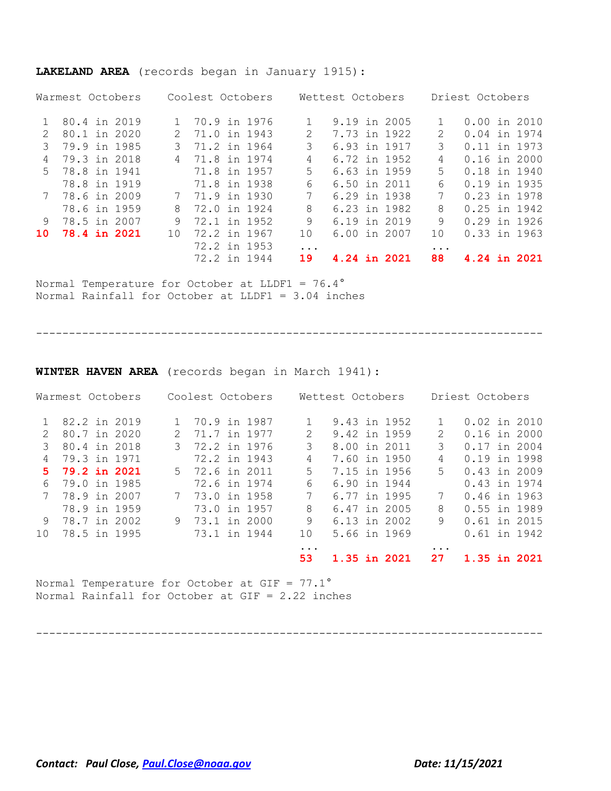### **LAKELAND AREA** (records began in January 1915):

|    | Warmest Octobers |           | Coolest Octobers |              | Wettest Octobers |               | Driest Octobers |
|----|------------------|-----------|------------------|--------------|------------------|---------------|-----------------|
|    | 80.4 in 2019     | $1 \quad$ | 70.9 in 1976     |              | 9.19 in 2005     |               | $0.00$ in 2010  |
| 2  | 80.1 in 2020     | 2         | 71.0 in 1943     | 2            | 7.73 in 1922     | $\mathcal{L}$ | 0.04 in 1974    |
|    | 79.9 in 1985     |           | 71.2 in 1964     | 3            | 6.93 in 1917     | 3             | 0.11 in 1973    |
| 4  | 79.3 in 2018     |           | 4 71.8 in 1974   | 4            | 6.72 in 1952     | 4             | $0.16$ in 2000  |
|    | 5 78.8 in 1941   |           | 71.8 in 1957     | 5.           | 6.63 in 1959     | 5             | 0.18 in 1940    |
|    | 78.8 in 1919     |           | 71.8 in 1938     | 6            | 6.50 in 2011     | 6             | 0.19 in 1935    |
|    | 7 78.6 in 2009   |           | 7 71.9 in 1930   | 7            | 6.29 in 1938     | 7             | 0.23 in 1978    |
|    | 78.6 in 1959     | 8         | 72.0 in 1924     | 8            | 6.23 in 1982     | 8             | $0.25$ in 1942  |
| 9  | 78.5 in 2007     | 9         | 72.1 in 1952     | 9            | 6.19 in 2019     | 9             | $0.29$ in 1926  |
| 10 | 78.4 in 2021     | 10        | 72.2 in 1967     | $10^{\circ}$ | 6.00 in 2007     | 10            | $0.33$ in 1963  |
|    |                  |           | 72.2 in 1953     | .            |                  | $\cdot$       |                 |
|    |                  |           | 72.2 in 1944     | 19           | 4.24 in 2021     | 88            | 4.24 in 2021    |

Normal Temperature for October at LLDF1 = 76.4° Normal Rainfall for October at LLDF1 = 3.04 inches

-----------------------------------------------------------------------------

**WINTER HAVEN AREA** (records began in March 1941):

|                 | Warmest Octobers |   | Coolest Octobers |                        | Wettest Octobers | Driest Octobers             |                |  |  |
|-----------------|------------------|---|------------------|------------------------|------------------|-----------------------------|----------------|--|--|
|                 | 82.2 in 2019     |   | 70.9 in 1987     |                        | 9.43 in 1952     |                             | $0.02$ in 2010 |  |  |
| $\mathcal{P}$   | 80.7 in 2020     | 2 | 71.7 in 1977     | 2                      | 9.42 in 1959     | $\mathcal{D}_{\mathcal{L}}$ | $0.16$ in 2000 |  |  |
|                 | 80.4 in 2018     |   | 3 72.2 in 1976   | 3                      | 8.00 in 2011     | 3                           | 0.17 in 2004   |  |  |
| 4               | 79.3 in 1971     |   | 72.2 in 1943     | 4                      | 7.60 in 1950     | 4                           | 0.19 in 1998   |  |  |
| 5.              | 79.2 in 2021     |   | 5 72.6 in 2011   | 5.                     | 7.15 in 1956     | .5                          | $0.43$ in 2009 |  |  |
| 6               | 79.0 in 1985     |   | 72.6 in 1974     | 6                      | 6.90 in 1944     |                             | 0.43 in 1974   |  |  |
| 7               | 78.9 in 2007     |   | 7 73.0 in 1958   | 7                      | 6.77 in 1995     | 7                           | 0.46 in 1963   |  |  |
|                 | 78.9 in 1959     |   | 73.0 in 1957     | 8                      | 6.47 in 2005     | 8                           | 0.55 in 1989   |  |  |
| 9               | 78.7 in 2002     |   | 9 73.1 in 2000   | 9                      | 6.13 in 2002     | 9                           | 0.61 in 2015   |  |  |
| 10 <sup>1</sup> | 78.5 in 1995     |   | 73.1 in 1944     | 10                     | 5.66 in 1969     |                             | 0.61 in 1942   |  |  |
|                 |                  |   |                  | $\ddot{\phantom{0}}$ . |                  |                             |                |  |  |
|                 |                  |   |                  | 53                     | 1.35 in 2021     | 27                          | 1.35 in 2021   |  |  |

Normal Temperature for October at GIF = 77.1° Normal Rainfall for October at GIF = 2.22 inches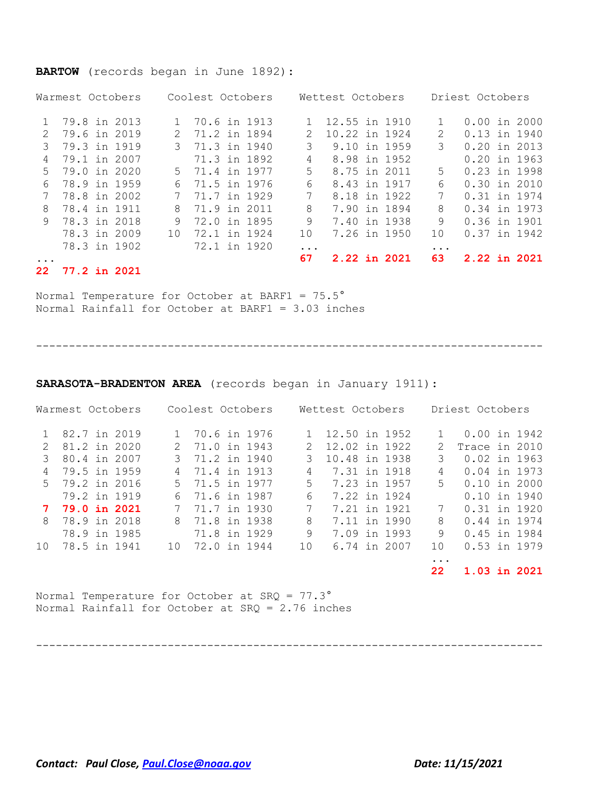### **BARTOW** (records began in June 1892):

|       | Warmest Octobers    |               | Coolest Octobers |           | Wettest Octobers |               | Driest Octobers |  |                |  |
|-------|---------------------|---------------|------------------|-----------|------------------|---------------|-----------------|--|----------------|--|
|       | 1 79.8 in 2013      | $\mathbf{1}$  | 70.6 in 1913     |           |                  | 12.55 in 1910 |                 |  | $0.00$ in 2000 |  |
| 2     | 79.6 in 2019        |               | 2 71.2 in 1894   | 2.        |                  | 10.22 in 1924 | 2               |  | 0.13 in 1940   |  |
| 3     | 79.3 in 1919        | $\mathcal{S}$ | 71.3 in 1940     | 3         |                  | 9.10 in 1959  | 3               |  | $0.20$ in 2013 |  |
|       | 79.1 in 2007        |               | 71.3 in 1892     | 4         |                  | 8.98 in 1952  |                 |  | $0.20$ in 1963 |  |
| $5 -$ | 79.0 in 2020        |               | 5 71.4 in 1977   | 5         |                  | 8.75 in 2011  | 5               |  | 0.23 in 1998   |  |
| 6     | 78.9 in 1959        | 6             | 71.5 in 1976     | 6         |                  | 8.43 in 1917  | 6               |  | $0.30$ in 2010 |  |
|       | 78.8 in 2002        | 7             | 71.7 in 1929     | 7         |                  | 8.18 in 1922  | 7               |  | 0.31 in 1974   |  |
| 8     | 78.4 in 1911        | 8             | 71.9 in 2011     | 8         |                  | 7.90 in 1894  | 8               |  | 0.34 in 1973   |  |
| 9     | 78.3 in 2018        | 9             | 72.0 in 1895     | 9         |                  | 7.40 in 1938  | 9               |  | 0.36 in 1901   |  |
|       | 78.3 in 2009        | 1 O           | 72.1 in 1924     | 10        |                  | 7.26 in 1950  | 1 O             |  | 0.37 in 1942   |  |
|       | 78.3 in 1902        |               | 72.1 in 1920     | $\ddotsc$ |                  |               | $\ddotsc$       |  |                |  |
|       |                     |               |                  | 67        |                  | 2.22 in 2021  | 63              |  | 2.22 in 2021   |  |
| 22    | <b>77.2 in 2021</b> |               |                  |           |                  |               |                 |  |                |  |

Normal Temperature for October at BARF1 = 75.5° Normal Rainfall for October at BARF1 = 3.03 inches

-----------------------------------------------------------------------------

#### **SARASOTA-BRADENTON AREA** (records began in January 1911):

| Warmest Octobers         | Coolest Octobers               | Wettest Octobers   | Driest Octobers     |  |  |  |  |
|--------------------------|--------------------------------|--------------------|---------------------|--|--|--|--|
| 82.7 in 2019             | 70.6 in 1976                   | 12.50 in 1952      | $0.00$ in 1942      |  |  |  |  |
| 81.2 in 2020             | 2 71.0 in 1943                 | 12.02 in 1922      | Trace in 2010       |  |  |  |  |
| 80.4 in 2007<br>3        | 3 71.2 in 1940                 | 10.48 in 1938      | 0.02 in 1963<br>3   |  |  |  |  |
| 79.5 in 1959<br>4        | 71.4 in 1913<br>$\overline{4}$ | 7.31 in 1918<br>4  | 0.04 in 1973<br>4   |  |  |  |  |
| 5 79.2 in 2016           | 5 71.5 in 1977                 | 5.<br>7.23 in 1957 | 0.10 in 2000<br>5.  |  |  |  |  |
| 79.2 in 1919             | 6 71.6 in 1987                 | 7.22 in 1924<br>6. | $0.10$ in 1940      |  |  |  |  |
| 79.0 in 2021             | 71.7 in 1930<br>7              | 7.21 in 1921<br>7. | $0.31$ in 1920<br>7 |  |  |  |  |
| 78.9 in 2018<br>8        | 71.8 in 1938<br>8              | 7.11 in 1990<br>8  | 0.44 in 1974<br>8   |  |  |  |  |
| 78.9 in 1985             | 71.8 in 1929                   | 9<br>7.09 in 1993  | 0.45 in 1984<br>9   |  |  |  |  |
| 78.5 in 1941<br>$10^{-}$ | 72.0 in 1944<br>1 O            | 10<br>6.74 in 2007 | 0.53 in 1979<br>10  |  |  |  |  |
|                          |                                |                    |                     |  |  |  |  |

**22 1.03 in 2021**

Normal Temperature for October at SRQ = 77.3° Normal Rainfall for October at SRQ = 2.76 inches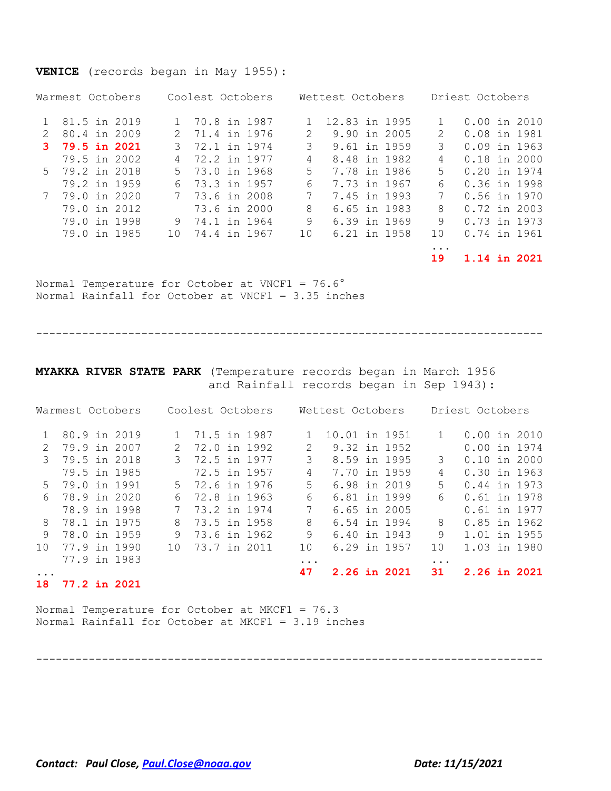## **VENICE** (records began in May 1955):

| Warmest Octobers | Coolest Octobers             | Wettest Octobers              | Driest Octobers     |  |  |  |
|------------------|------------------------------|-------------------------------|---------------------|--|--|--|
| 81.5 in 2019     | 70.8 in 1987<br>$\mathbf{1}$ | 12.83 in 1995                 | $0.00$ in 2010      |  |  |  |
| 80.4 in 2009     | 2 71.4 in 1976               | 9.90 in 2005<br>$\mathcal{L}$ | 0.08 in 1981<br>2   |  |  |  |
| 3 79.5 in 2021   | 3 72.1 in 1974               | 3<br>9.61 in 1959             | $0.09$ in 1963<br>3 |  |  |  |
| 79.5 in 2002     | 4 72.2 in 1977               | 8.48 in 1982<br>4             | 0.18 in 2000<br>4   |  |  |  |
| 5 79.2 in 2018   | 5 73.0 in 1968               | 5.<br>7.78 in 1986            | 0.20 in 1974<br>5.  |  |  |  |
| 79.2 in 1959     | 73.3 in 1957<br>6.           | 7.73 in 1967<br>6             | 0.36 in 1998<br>6   |  |  |  |
| 79.0 in 2020     | 7 73.6 in 2008               | 7.45 in 1993                  | 7<br>0.56 in 1970   |  |  |  |
| 79.0 in 2012     | 73.6 in 2000                 | 6.65 in 1983<br>8             | $0.72$ in 2003<br>8 |  |  |  |
| 79.0 in 1998     | 9 74.1 in 1964               | 9<br>6.39 in 1969             | 0.73 in 1973<br>9   |  |  |  |
| 79.0 in 1985     | 74.4 in 1967<br>10           | 6.21 in 1958<br>10            | 0.74 in 1961<br>1 O |  |  |  |
|                  |                              |                               |                     |  |  |  |

**19 1.14 in 2021**

Normal Temperature for October at VNCF1 = 76.6° Normal Rainfall for October at VNCF1 = 3.35 inches

-----------------------------------------------------------------------------

**MYAKKA RIVER STATE PARK** (Temperature records began in March 1956 and Rainfall records began in Sep 1943):

|               |  | Warmest Octobers |               | Coolest Octobers |  |  |           | Wettest Octobers |  | Driest Octobers |           |                |  |  |
|---------------|--|------------------|---------------|------------------|--|--|-----------|------------------|--|-----------------|-----------|----------------|--|--|
|               |  | 80.9 in 2019     |               | 1 71.5 in 1987   |  |  |           | 10.01 in 1951    |  |                 |           | $0.00$ in 2010 |  |  |
| $\mathcal{L}$ |  | 79.9 in 2007     | $\mathcal{L}$ | 72.0 in 1992     |  |  | 2         |                  |  | 9.32 in 1952    |           | $0.00$ in 1974 |  |  |
| 3             |  | 79.5 in 2018     |               | 3 72.5 in 1977   |  |  | 3         | 8.59 in 1995     |  |                 | 3         | $0.10$ in 2000 |  |  |
|               |  | 79.5 in 1985     |               | 72.5 in 1957     |  |  | 4         | 7.70 in 1959     |  |                 | 4         | 0.30 in 1963   |  |  |
| $5 -$         |  | 79.0 in 1991     |               | 5 72.6 in 1976   |  |  | 5.        |                  |  | 6.98 in 2019    | 5         | 0.44 in 1973   |  |  |
| 6             |  | 78.9 in 2020     | 6             | 72.8 in 1963     |  |  | 6         |                  |  | 6.81 in 1999    | 6         | 0.61 in 1978   |  |  |
|               |  | 78.9 in 1998     |               | 73.2 in 1974     |  |  | 7         |                  |  | 6.65 in 2005    |           | 0.61 in 1977   |  |  |
| 8             |  | 78.1 in 1975     | 8             | 73.5 in 1958     |  |  | 8         |                  |  | 6.54 in 1994    | 8         | 0.85 in 1962   |  |  |
| 9             |  | 78.0 in 1959     | 9             | 73.6 in 1962     |  |  | 9         |                  |  | 6.40 in 1943    | 9         | 1.01 in 1955   |  |  |
| $10^{-}$      |  | 77.9 in 1990     | 1 O           | 73.7 in 2011     |  |  | 10        |                  |  | 6.29 in 1957    | 1 O       | 1.03 in 1980   |  |  |
|               |  | 77.9 in 1983     |               |                  |  |  | $\ddotsc$ |                  |  |                 | $\ddotsc$ |                |  |  |
|               |  |                  |               |                  |  |  | 47        | 2.26 in 2021     |  |                 | 31        | 2.26 in 2021   |  |  |

-----------------------------------------------------------------------------

**18 77.2 in 2021**

Normal Temperature for October at MKCF1 = 76.3 Normal Rainfall for October at MKCF1 = 3.19 inches

*Contact: Paul Close, [Paul.Close@noaa.gov](mailto:Paul.Close@noaa.gov) Date: 11/15/2021*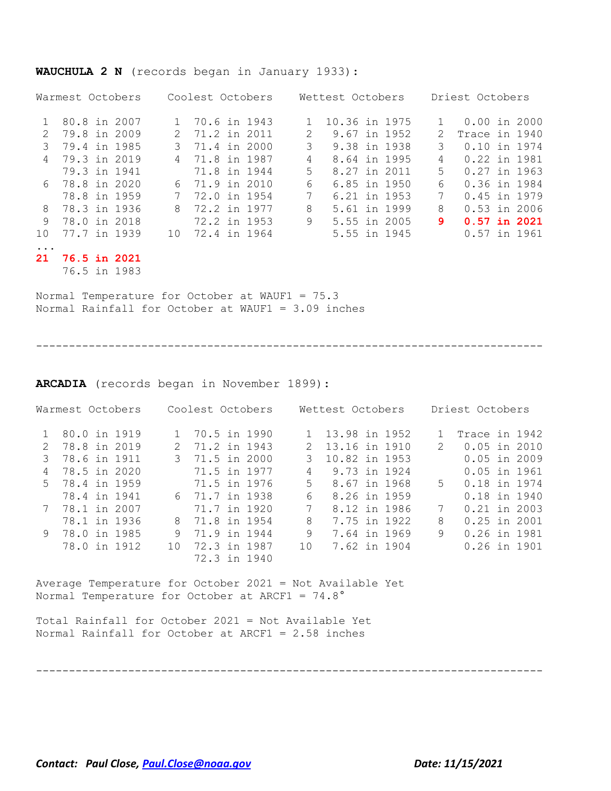|               | Warmest Octobers |               | Coolest Octobers |               | Wettest Octobers | Driest Octobers |                |  |  |
|---------------|------------------|---------------|------------------|---------------|------------------|-----------------|----------------|--|--|
|               | 80.8 in 2007     | 1             | 70.6 in 1943     |               | 10.36 in 1975    | $\mathbf{1}$    | $0.00$ in 2000 |  |  |
| $\mathcal{L}$ | 79.8 in 2009     | $\mathcal{L}$ | 71.2 in 2011     | $\mathcal{L}$ | 9.67 in 1952     | 2               | Trace in 1940  |  |  |
| 3             | 79.4 in 1985     | 3             | 71.4 in 2000     | 3             | 9.38 in 1938     | 3               | 0.10 in 1974   |  |  |
| 4             | 79.3 in 2019     | 4             | 71.8 in 1987     | 4             | 8.64 in 1995     | 4               | 0.22 in 1981   |  |  |
|               | 79.3 in 1941     |               | 71.8 in 1944     | 5.            | 8.27 in 2011     | 5               | $0.27$ in 1963 |  |  |
|               | 6 78.8 in 2020   | 6.            | 71.9 in 2010     | 6             | 6.85 in 1950     | 6               | 0.36 in 1984   |  |  |
|               | 78.8 in 1959     | 7             | 72.0 in 1954     | 7             | 6.21 in 1953     | 7               | 0.45 in 1979   |  |  |
| 8             | 78.3 in 1936     | 8             | 72.2 in 1977     | 8             | 5.61 in 1999     | 8               | $0.53$ in 2006 |  |  |
| 9             | 78.0 in 2018     |               | 72.2 in 1953     | 9             | 5.55 in 2005     | 9               | $0.57$ in 2021 |  |  |
| $10^{\circ}$  | 77.7 in 1939     | 10            | 72.4 in 1964     |               | 5.55 in 1945     |                 | $0.57$ in 1961 |  |  |
| $\ddotsc$     |                  |               |                  |               |                  |                 |                |  |  |
| 21            | 76.5 in 2021     |               |                  |               |                  |                 |                |  |  |
|               | 76.5 in 1983     |               |                  |               |                  |                 |                |  |  |

#### **WAUCHULA 2 N** (records began in January 1933):

Normal Temperature for October at WAUF1 = 75.3 Normal Rainfall for October at WAUF1 = 3.09 inches

-----------------------------------------------------------------------------

**ARCADIA** (records began in November 1899):

|              |                                                                                                                                          |                                                                                                                                                                                                            |               |                  | Driest Octobers |  |  |  |
|--------------|------------------------------------------------------------------------------------------------------------------------------------------|------------------------------------------------------------------------------------------------------------------------------------------------------------------------------------------------------------|---------------|------------------|-----------------|--|--|--|
|              |                                                                                                                                          |                                                                                                                                                                                                            | 13.98 in 1952 |                  | Trace in 1942   |  |  |  |
|              |                                                                                                                                          | 2                                                                                                                                                                                                          | 13.16 in 1910 | $\mathcal{L}$    | $0.05$ in 2010  |  |  |  |
|              |                                                                                                                                          |                                                                                                                                                                                                            | 10.82 in 1953 |                  | $0.05$ in 2009  |  |  |  |
|              |                                                                                                                                          | 4                                                                                                                                                                                                          | 9.73 in 1924  |                  | $0.05$ in 1961  |  |  |  |
|              |                                                                                                                                          | $5 -$                                                                                                                                                                                                      | 8.67 in 1968  | $5 -$            | 0.18 in 1974    |  |  |  |
| 78.4 in 1941 |                                                                                                                                          | 6                                                                                                                                                                                                          |               |                  | 0.18 in 1940    |  |  |  |
|              |                                                                                                                                          | 7                                                                                                                                                                                                          | 8.12 in 1986  | 7                | $0.21$ in 2003  |  |  |  |
| 78.1 in 1936 |                                                                                                                                          | 8                                                                                                                                                                                                          | 7.75 in 1922  | 8                | $0.25$ in 2001  |  |  |  |
|              | 9                                                                                                                                        | 9                                                                                                                                                                                                          | 7.64 in 1969  | 9                | 0.26 in 1981    |  |  |  |
| 78.0 in 1912 | 1 O                                                                                                                                      | 1 O                                                                                                                                                                                                        | 7.62 in 1904  |                  | 0.26 in 1901    |  |  |  |
|              |                                                                                                                                          |                                                                                                                                                                                                            |               |                  |                 |  |  |  |
|              | Warmest Octobers<br>80.0 in 1919<br>2 78.8 in 2019<br>3 78.6 in 1911<br>78.5 in 2020<br>5 78.4 in 1959<br>7 78.1 in 2007<br>78.0 in 1985 | Coolest Octobers<br>1 70.5 in 1990<br>2 71.2 in 1943<br>3 71.5 in 2000<br>71.5 in 1977<br>71.5 in 1976<br>6 71.7 in 1938<br>71.7 in 1920<br>8 71.8 in 1954<br>71.9 in 1944<br>72.3 in 1987<br>72.3 in 1940 |               | Wettest Octobers | 8.26 in 1959    |  |  |  |

Average Temperature for October 2021 = Not Available Yet Normal Temperature for October at ARCF1 = 74.8°

Total Rainfall for October 2021 = Not Available Yet Normal Rainfall for October at ARCF1 = 2.58 inches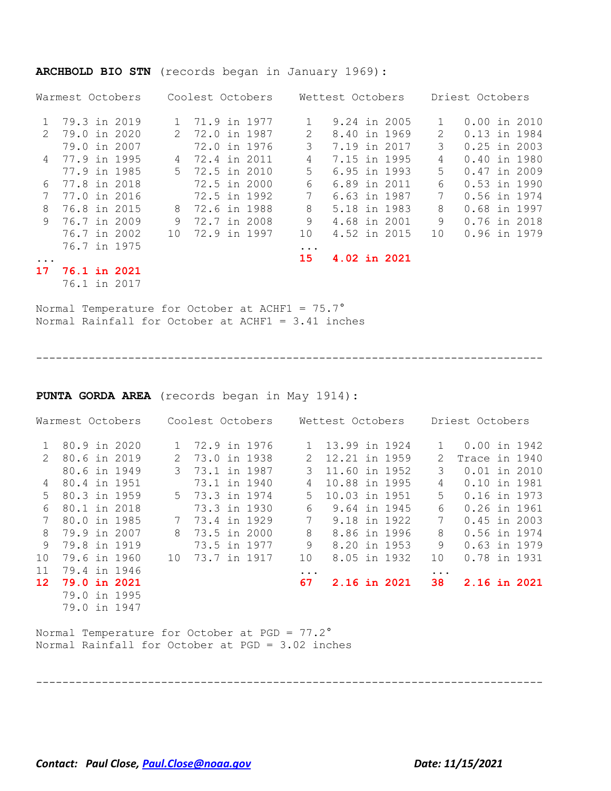|               | Warmest Octobers    |  | Coolest Octobers |                |  |  | Wettest Octobers | Driest Octobers |              |               |                |  |  |
|---------------|---------------------|--|------------------|----------------|--|--|------------------|-----------------|--------------|---------------|----------------|--|--|
|               | 79.3 in 2019        |  |                  | 71.9 in 1977   |  |  |                  |                 | 9.24 in 2005 |               | $0.00$ in 2010 |  |  |
| $\mathcal{P}$ | 79.0 in 2020        |  | $\mathcal{P}$    | 72.0 in 1987   |  |  | $\mathcal{L}$    | 8.40 in 1969    |              | $\mathcal{L}$ | 0.13 in 1984   |  |  |
|               | 79.0 in 2007        |  |                  | 72.0 in 1976   |  |  | 3                | 7.19 in 2017    |              | 3             | $0.25$ in 2003 |  |  |
| 4             | 77.9 in 1995        |  | 4                | 72.4 in 2011   |  |  | 4                | 7.15 in 1995    |              | 4             | 0.40 in 1980   |  |  |
|               | 77.9 in 1985        |  |                  | 5 72.5 in 2010 |  |  | 5.               | 6.95 in 1993    |              | 5.            | $0.47$ in 2009 |  |  |
| 6             | 77.8 in 2018        |  |                  | 72.5 in 2000   |  |  | 6                | 6.89 in 2011    |              | 6             | $0.53$ in 1990 |  |  |
|               | 77.0 in 2016        |  |                  | 72.5 in 1992   |  |  | 7                | 6.63 in 1987    |              | 7             | 0.56 in 1974   |  |  |
| 8             | 76.8 in 2015        |  | 8                | 72.6 in 1988   |  |  | 8                | 5.18 in 1983    |              | 8             | 0.68 in 1997   |  |  |
| 9             | 76.7 in 2009        |  | 9                | 72.7 in 2008   |  |  | 9                | 4.68 in 2001    |              | 9             | 0.76 in 2018   |  |  |
|               | 76.7 in 2002        |  | 10               | 72.9 in 1997   |  |  | 10               | 4.52 in 2015    |              | 1 O           | 0.96 in 1979   |  |  |
|               | 76.7 in 1975        |  |                  |                |  |  | $\ddotsc$        |                 |              |               |                |  |  |
|               |                     |  |                  |                |  |  | 15               | 4.02 in 2021    |              |               |                |  |  |
| 17            | <b>76.1 in 2021</b> |  |                  |                |  |  |                  |                 |              |               |                |  |  |

#### **ARCHBOLD BIO STN** (records began in January 1969):

76.1 in 2017

Normal Temperature for October at ACHF1 = 75.7° Normal Rainfall for October at ACHF1 = 3.41 inches

-----------------------------------------------------------------------------

**PUNTA GORDA AREA** (records began in May 1914):

|               | Warmest Octobers    |                | Coolest Octobers |  | Wettest Octobers |               | Driest Octobers |               |                |  |  |
|---------------|---------------------|----------------|------------------|--|------------------|---------------|-----------------|---------------|----------------|--|--|
| $\mathbf{1}$  | 80.9 in 2020        |                | 72.9 in 1976     |  | $\mathbf{1}$     | 13.99 in 1924 |                 | $\mathbf{1}$  | 0.00 in 1942   |  |  |
| $\mathcal{P}$ | 80.6 in 2019        | 2              | 73.0 in 1938     |  | $\mathcal{P}$    | 12.21 in 1959 |                 | $\mathcal{L}$ | Trace in 1940  |  |  |
|               | 80.6 in 1949        | 3              | 73.1 in 1987     |  | 3                | 11.60 in 1952 |                 | 3             | $0.01$ in 2010 |  |  |
| 4             | 80.4 in 1951        |                | 73.1 in 1940     |  | 4                | 10.88 in 1995 |                 | 4             | 0.10 in 1981   |  |  |
| .5            | 80.3 in 1959        |                | 5 73.3 in 1974   |  | 5.               | 10.03 in 1951 |                 | 5             | 0.16 in 1973   |  |  |
| 6             | 80.1 in 2018        |                | 73.3 in 1930     |  | 6                | 9.64 in 1945  |                 | 6             | 0.26 in 1961   |  |  |
|               | 80.0 in 1985        | 7 <sup>7</sup> | 73.4 in 1929     |  | 7                | 9.18 in 1922  |                 | 7             | $0.45$ in 2003 |  |  |
| 8             | 79.9 in 2007        | 8              | 73.5 in 2000     |  | 8                | 8.86 in 1996  |                 | 8             | 0.56 in 1974   |  |  |
| 9             | 79.8 in 1919        |                | 73.5 in 1977     |  | 9                | 8.20 in 1953  |                 | 9             | 0.63 in 1979   |  |  |
| 10            | 79.6 in 1960        | 10             | 73.7 in 1917     |  | 10               | 8.05 in 1932  |                 | 10            | 0.78 in 1931   |  |  |
| 11            | 79.4 in 1946        |                |                  |  | $\ddotsc$        |               |                 | $\cdot$       |                |  |  |
| 12            | <b>79.0 in 2021</b> |                |                  |  | 67               | 2.16 in 2021  |                 | 38            | 2.16 in 2021   |  |  |
|               | 79.0 in 1995        |                |                  |  |                  |               |                 |               |                |  |  |
|               | 79.0 in 1947        |                |                  |  |                  |               |                 |               |                |  |  |

Normal Temperature for October at PGD = 77.2° Normal Rainfall for October at PGD = 3.02 inches